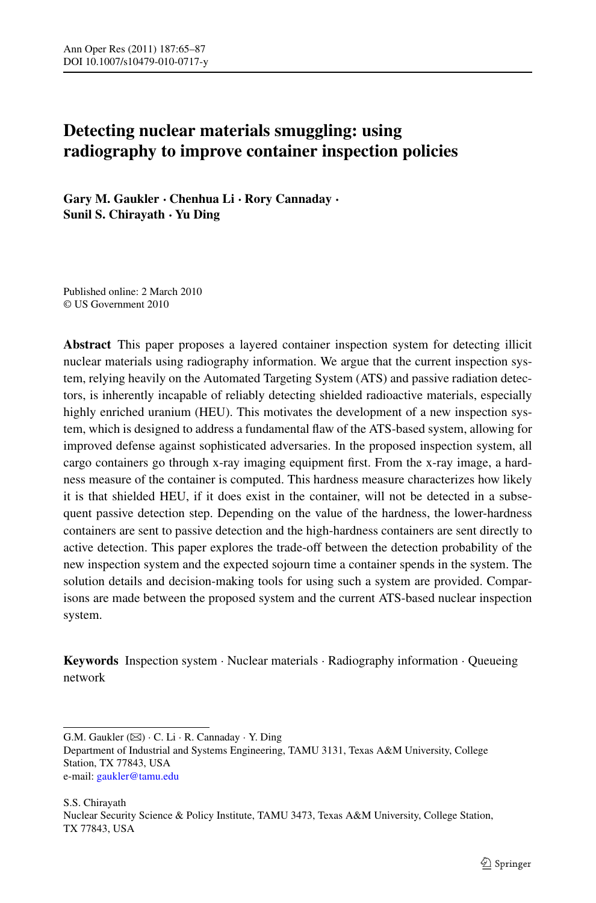# **Detecting nuclear materials smuggling: using radiography to improve container inspection policies**

**Gary M. Gaukler · Chenhua Li · Rory Cannaday · Sunil S. Chirayath · Yu Ding**

Published online: 2 March 2010 © US Government 2010

**Abstract** This paper proposes a layered container inspection system for detecting illicit nuclear materials using radiography information. We argue that the current inspection system, relying heavily on the Automated Targeting System (ATS) and passive radiation detectors, is inherently incapable of reliably detecting shielded radioactive materials, especially highly enriched uranium (HEU). This motivates the development of a new inspection system, which is designed to address a fundamental flaw of the ATS-based system, allowing for improved defense against sophisticated adversaries. In the proposed inspection system, all cargo containers go through x-ray imaging equipment first. From the x-ray image, a hardness measure of the container is computed. This hardness measure characterizes how likely it is that shielded HEU, if it does exist in the container, will not be detected in a subsequent passive detection step. Depending on the value of the hardness, the lower-hardness containers are sent to passive detection and the high-hardness containers are sent directly to active detection. This paper explores the trade-off between the detection probability of the new inspection system and the expected sojourn time a container spends in the system. The solution details and decision-making tools for using such a system are provided. Comparisons are made between the proposed system and the current ATS-based nuclear inspection system.

**Keywords** Inspection system · Nuclear materials · Radiography information · Queueing network

G.M. Gaukler ( $\boxtimes$ ) · C. Li · R. Cannaday · Y. Ding Department of Industrial and Systems Engineering, TAMU 3131, Texas A&M University, College Station, TX 77843, USA e-mail: [gaukler@tamu.edu](mailto:gaukler@tamu.edu)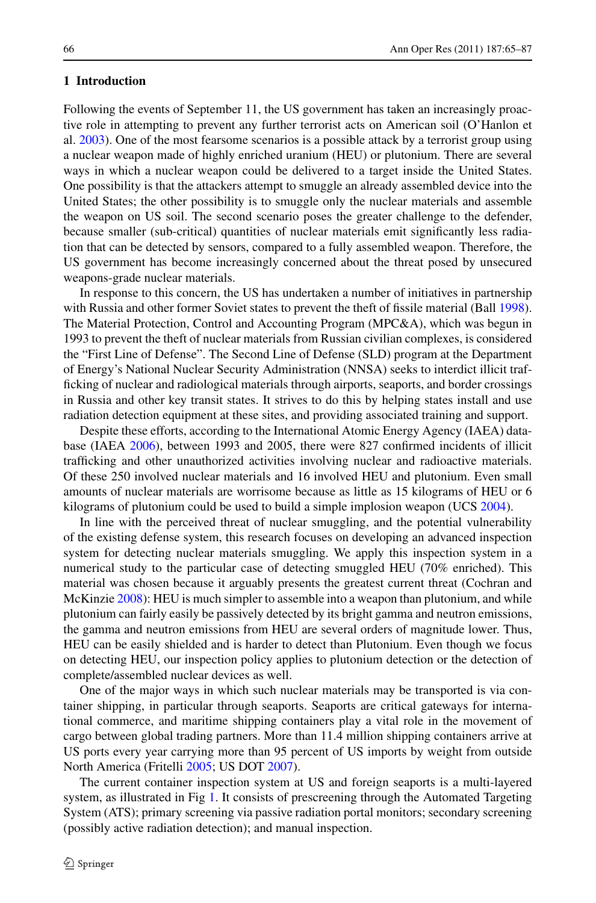# **1 Introduction**

Following the events of September 11, the US government has taken an increasingly proactive role in attempting to prevent any further terrorist acts on American soil (O'Hanlon et al. [2003](#page-21-0)). One of the most fearsome scenarios is a possible attack by a terrorist group using a nuclear weapon made of highly enriched uranium (HEU) or plutonium. There are several ways in which a nuclear weapon could be delivered to a target inside the United States. One possibility is that the attackers attempt to smuggle an already assembled device into the United States; the other possibility is to smuggle only the nuclear materials and assemble the weapon on US soil. The second scenario poses the greater challenge to the defender, because smaller (sub-critical) quantities of nuclear materials emit significantly less radiation that can be detected by sensors, compared to a fully assembled weapon. Therefore, the US government has become increasingly concerned about the threat posed by unsecured weapons-grade nuclear materials.

In response to this concern, the US has undertaken a number of initiatives in partnership with Russia and other former Soviet states to prevent the theft of fissile material (Ball [1998](#page-21-1)). The Material Protection, Control and Accounting Program (MPC&A), which was begun in 1993 to prevent the theft of nuclear materials from Russian civilian complexes, is considered the "First Line of Defense". The Second Line of Defense (SLD) program at the Department of Energy's National Nuclear Security Administration (NNSA) seeks to interdict illicit trafficking of nuclear and radiological materials through airports, seaports, and border crossings in Russia and other key transit states. It strives to do this by helping states install and use radiation detection equipment at these sites, and providing associated training and support.

Despite these efforts, according to the International Atomic Energy Agency (IAEA) database (IAEA [2006\)](#page-21-2), between 1993 and 2005, there were 827 confirmed incidents of illicit trafficking and other unauthorized activities involving nuclear and radioactive materials. Of these 250 involved nuclear materials and 16 involved HEU and plutonium. Even small amounts of nuclear materials are worrisome because as little as 15 kilograms of HEU or 6 kilograms of plutonium could be used to build a simple implosion weapon (UCS [2004](#page-21-3)).

In line with the perceived threat of nuclear smuggling, and the potential vulnerability of the existing defense system, this research focuses on developing an advanced inspection system for detecting nuclear materials smuggling. We apply this inspection system in a numerical study to the particular case of detecting smuggled HEU (70% enriched). This material was chosen because it arguably presents the greatest current threat (Cochran and McKinzie [2008](#page-21-4)): HEU is much simpler to assemble into a weapon than plutonium, and while plutonium can fairly easily be passively detected by its bright gamma and neutron emissions, the gamma and neutron emissions from HEU are several orders of magnitude lower. Thus, HEU can be easily shielded and is harder to detect than Plutonium. Even though we focus on detecting HEU, our inspection policy applies to plutonium detection or the detection of complete/assembled nuclear devices as well.

One of the major ways in which such nuclear materials may be transported is via container shipping, in particular through seaports. Seaports are critical gateways for international commerce, and maritime shipping containers play a vital role in the movement of cargo between global trading partners. More than 11.4 million shipping containers arrive at US ports every year carrying more than 95 percent of US imports by weight from outside North America (Fritelli [2005](#page-21-5); US DOT [2007](#page-22-0)).

The current container inspection system at US and foreign seaports is a multi-layered system, as illustrated in Fig [1.](#page-2-0) It consists of prescreening through the Automated Targeting System (ATS); primary screening via passive radiation portal monitors; secondary screening (possibly active radiation detection); and manual inspection.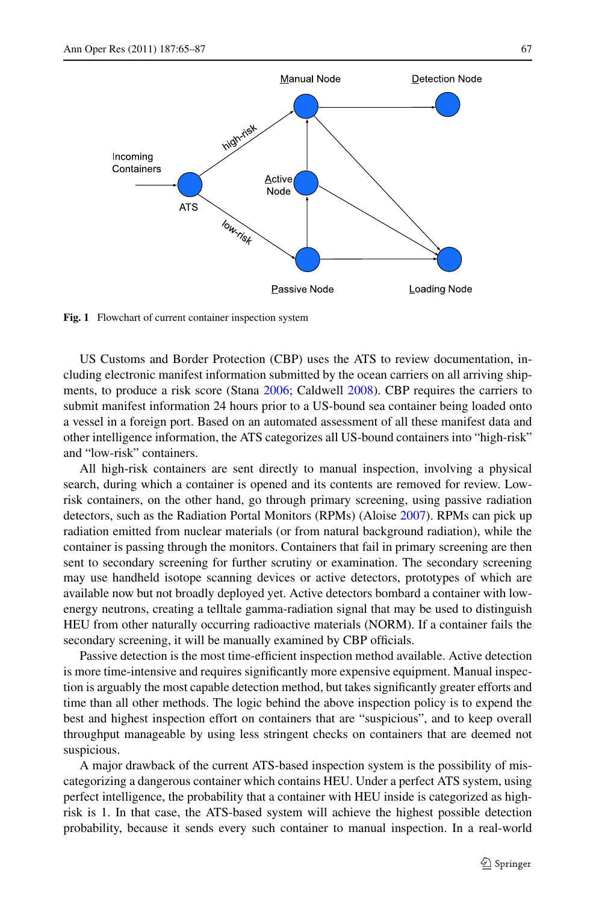

<span id="page-2-0"></span>**Fig. 1** Flowchart of current container inspection system

US Customs and Border Protection (CBP) uses the ATS to review documentation, including electronic manifest information submitted by the ocean carriers on all arriving shipments, to produce a risk score (Stana [2006](#page-21-6); Caldwell [2008](#page-21-7)). CBP requires the carriers to submit manifest information 24 hours prior to a US-bound sea container being loaded onto a vessel in a foreign port. Based on an automated assessment of all these manifest data and other intelligence information, the ATS categorizes all US-bound containers into "high-risk" and "low-risk" containers.

All high-risk containers are sent directly to manual inspection, involving a physical search, during which a container is opened and its contents are removed for review. Lowrisk containers, on the other hand, go through primary screening, using passive radiation detectors, such as the Radiation Portal Monitors (RPMs) (Aloise [2007](#page-20-0)). RPMs can pick up radiation emitted from nuclear materials (or from natural background radiation), while the container is passing through the monitors. Containers that fail in primary screening are then sent to secondary screening for further scrutiny or examination. The secondary screening may use handheld isotope scanning devices or active detectors, prototypes of which are available now but not broadly deployed yet. Active detectors bombard a container with lowenergy neutrons, creating a telltale gamma-radiation signal that may be used to distinguish HEU from other naturally occurring radioactive materials (NORM). If a container fails the secondary screening, it will be manually examined by CBP officials.

Passive detection is the most time-efficient inspection method available. Active detection is more time-intensive and requires significantly more expensive equipment. Manual inspection is arguably the most capable detection method, but takes significantly greater efforts and time than all other methods. The logic behind the above inspection policy is to expend the best and highest inspection effort on containers that are "suspicious", and to keep overall throughput manageable by using less stringent checks on containers that are deemed not suspicious.

A major drawback of the current ATS-based inspection system is the possibility of miscategorizing a dangerous container which contains HEU. Under a perfect ATS system, using perfect intelligence, the probability that a container with HEU inside is categorized as highrisk is 1. In that case, the ATS-based system will achieve the highest possible detection probability, because it sends every such container to manual inspection. In a real-world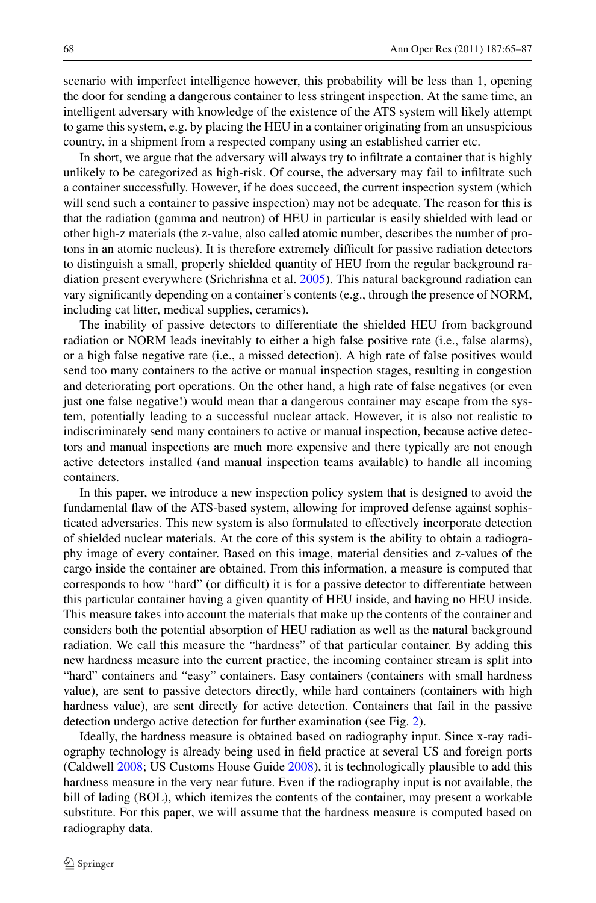scenario with imperfect intelligence however, this probability will be less than 1, opening the door for sending a dangerous container to less stringent inspection. At the same time, an intelligent adversary with knowledge of the existence of the ATS system will likely attempt to game this system, e.g. by placing the HEU in a container originating from an unsuspicious country, in a shipment from a respected company using an established carrier etc.

In short, we argue that the adversary will always try to infiltrate a container that is highly unlikely to be categorized as high-risk. Of course, the adversary may fail to infiltrate such a container successfully. However, if he does succeed, the current inspection system (which will send such a container to passive inspection) may not be adequate. The reason for this is that the radiation (gamma and neutron) of HEU in particular is easily shielded with lead or other high-z materials (the z-value, also called atomic number, describes the number of protons in an atomic nucleus). It is therefore extremely difficult for passive radiation detectors to distinguish a small, properly shielded quantity of HEU from the regular background radiation present everywhere (Srichrishna et al. [2005](#page-21-8)). This natural background radiation can vary significantly depending on a container's contents (e.g., through the presence of NORM, including cat litter, medical supplies, ceramics).

The inability of passive detectors to differentiate the shielded HEU from background radiation or NORM leads inevitably to either a high false positive rate (i.e., false alarms), or a high false negative rate (i.e., a missed detection). A high rate of false positives would send too many containers to the active or manual inspection stages, resulting in congestion and deteriorating port operations. On the other hand, a high rate of false negatives (or even just one false negative!) would mean that a dangerous container may escape from the system, potentially leading to a successful nuclear attack. However, it is also not realistic to indiscriminately send many containers to active or manual inspection, because active detectors and manual inspections are much more expensive and there typically are not enough active detectors installed (and manual inspection teams available) to handle all incoming containers.

In this paper, we introduce a new inspection policy system that is designed to avoid the fundamental flaw of the ATS-based system, allowing for improved defense against sophisticated adversaries. This new system is also formulated to effectively incorporate detection of shielded nuclear materials. At the core of this system is the ability to obtain a radiography image of every container. Based on this image, material densities and z-values of the cargo inside the container are obtained. From this information, a measure is computed that corresponds to how "hard" (or difficult) it is for a passive detector to differentiate between this particular container having a given quantity of HEU inside, and having no HEU inside. This measure takes into account the materials that make up the contents of the container and considers both the potential absorption of HEU radiation as well as the natural background radiation. We call this measure the "hardness" of that particular container. By adding this new hardness measure into the current practice, the incoming container stream is split into "hard" containers and "easy" containers. Easy containers (containers with small hardness value), are sent to passive detectors directly, while hard containers (containers with high hardness value), are sent directly for active detection. Containers that fail in the passive detection undergo active detection for further examination (see Fig. [2\)](#page-5-0).

Ideally, the hardness measure is obtained based on radiography input. Since x-ray radiography technology is already being used in field practice at several US and foreign ports (Caldwell [2008](#page-21-7); US Customs House Guide [2008](#page-21-9)), it is technologically plausible to add this hardness measure in the very near future. Even if the radiography input is not available, the bill of lading (BOL), which itemizes the contents of the container, may present a workable substitute. For this paper, we will assume that the hardness measure is computed based on radiography data.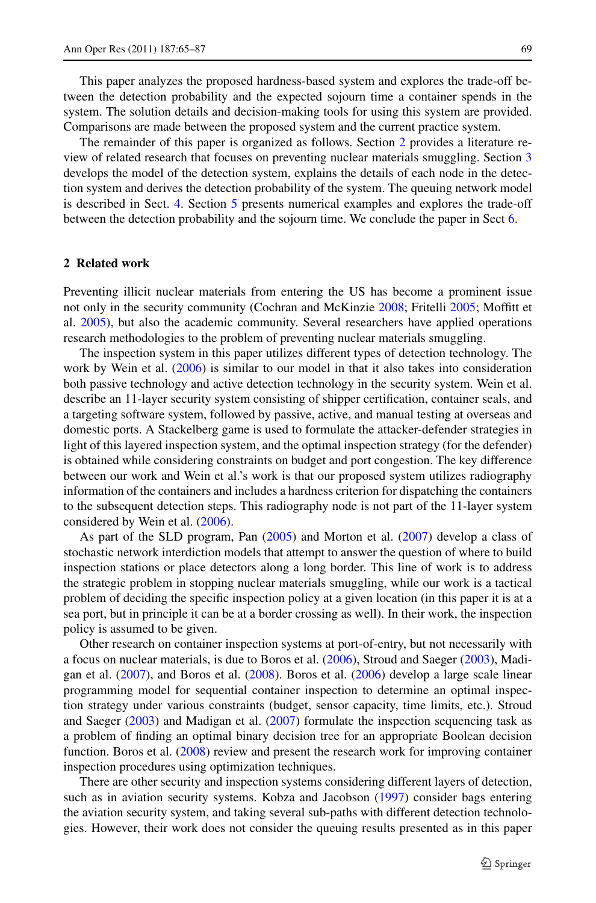This paper analyzes the proposed hardness-based system and explores the trade-off between the detection probability and the expected sojourn time a container spends in the system. The solution details and decision-making tools for using this system are provided. Comparisons are made between the proposed system and the current practice system.

<span id="page-4-0"></span>The remainder of this paper is organized as follows. Section [2](#page-4-0) provides a literature review of related research that focuses on preventing nuclear materials smuggling. Section [3](#page-5-1) develops the model of the detection system, explains the details of each node in the detection system and derives the detection probability of the system. The queuing network model is described in Sect. [4](#page-12-0). Section [5](#page-14-0) presents numerical examples and explores the trade-off between the detection probability and the sojourn time. We conclude the paper in Sect [6.](#page-20-1)

# **2 Related work**

Preventing illicit nuclear materials from entering the US has become a prominent issue not only in the security community (Cochran and McKinzie [2008](#page-21-4); Fritelli [2005;](#page-21-5) Moffitt et al. [2005](#page-21-10)), but also the academic community. Several researchers have applied operations research methodologies to the problem of preventing nuclear materials smuggling.

The inspection system in this paper utilizes different types of detection technology. The work by Wein et al. [\(2006\)](#page-22-1) is similar to our model in that it also takes into consideration both passive technology and active detection technology in the security system. Wein et al. describe an 11-layer security system consisting of shipper certification, container seals, and a targeting software system, followed by passive, active, and manual testing at overseas and domestic ports. A Stackelberg game is used to formulate the attacker-defender strategies in light of this layered inspection system, and the optimal inspection strategy (for the defender) is obtained while considering constraints on budget and port congestion. The key difference between our work and Wein et al.'s work is that our proposed system utilizes radiography information of the containers and includes a hardness criterion for dispatching the containers to the subsequent detection steps. This radiography node is not part of the 11-layer system considered by Wein et al. [\(2006\)](#page-22-1).

As part of the SLD program, Pan ([2005\)](#page-21-11) and Morton et al. ([2007\)](#page-21-12) develop a class of stochastic network interdiction models that attempt to answer the question of where to build inspection stations or place detectors along a long border. This line of work is to address the strategic problem in stopping nuclear materials smuggling, while our work is a tactical problem of deciding the specific inspection policy at a given location (in this paper it is at a sea port, but in principle it can be at a border crossing as well). In their work, the inspection policy is assumed to be given.

Other research on container inspection systems at port-of-entry, but not necessarily with a focus on nuclear materials, is due to Boros et al. [\(2006\)](#page-21-13), Stroud and Saeger ([2003\)](#page-21-14), Madigan et al. ([2007\)](#page-21-15), and Boros et al. ([2008\)](#page-21-16). Boros et al. [\(2006](#page-21-13)) develop a large scale linear programming model for sequential container inspection to determine an optimal inspection strategy under various constraints (budget, sensor capacity, time limits, etc.). Stroud and Saeger [\(2003](#page-21-14)) and Madigan et al. [\(2007](#page-21-15)) formulate the inspection sequencing task as a problem of finding an optimal binary decision tree for an appropriate Boolean decision function. Boros et al. ([2008\)](#page-21-16) review and present the research work for improving container inspection procedures using optimization techniques.

There are other security and inspection systems considering different layers of detection, such as in aviation security systems. Kobza and Jacobson [\(1997](#page-21-17)) consider bags entering the aviation security system, and taking several sub-paths with different detection technologies. However, their work does not consider the queuing results presented as in this paper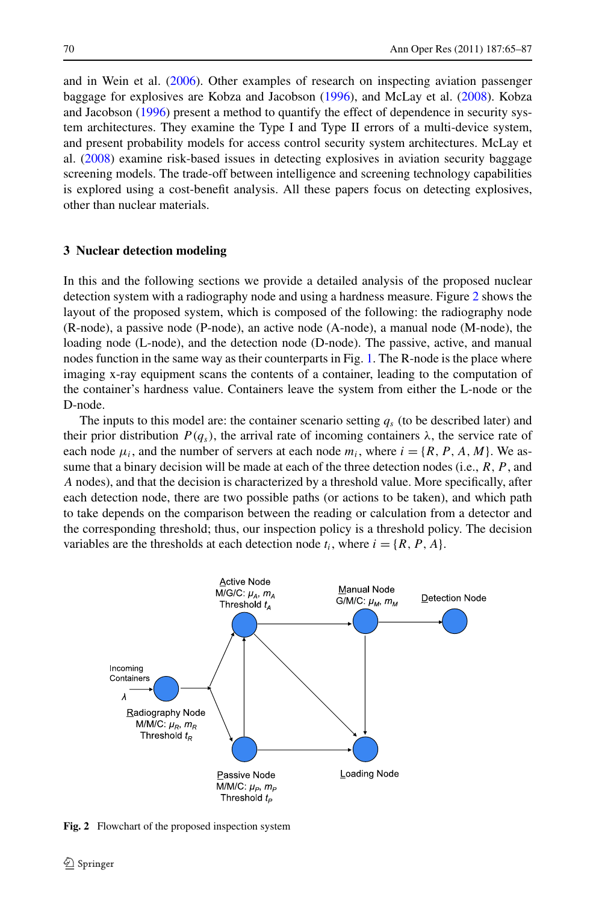<span id="page-5-1"></span>and in Wein et al. ([2006](#page-22-1)). Other examples of research on inspecting aviation passenger baggage for explosives are Kobza and Jacobson [\(1996](#page-21-18)), and McLay et al. [\(2008](#page-21-19)). Kobza and Jacobson [\(1996](#page-21-18)) present a method to quantify the effect of dependence in security system architectures. They examine the Type I and Type II errors of a multi-device system, and present probability models for access control security system architectures. McLay et al. ([2008\)](#page-21-19) examine risk-based issues in detecting explosives in aviation security baggage screening models. The trade-off between intelligence and screening technology capabilities is explored using a cost-benefit analysis. All these papers focus on detecting explosives, other than nuclear materials.

# **3 Nuclear detection modeling**

In this and the following sections we provide a detailed analysis of the proposed nuclear detection system with a radiography node and using a hardness measure. Figure [2](#page-5-0) shows the layout of the proposed system, which is composed of the following: the radiography node (R-node), a passive node (P-node), an active node (A-node), a manual node (M-node), the loading node (L-node), and the detection node (D-node). The passive, active, and manual nodes function in the same way as their counterparts in Fig. [1.](#page-2-0) The R-node is the place where imaging x-ray equipment scans the contents of a container, leading to the computation of the container's hardness value. Containers leave the system from either the L-node or the D-node.

The inputs to this model are: the container scenario setting *qs* (to be described later) and their prior distribution  $P(q_s)$ , the arrival rate of incoming containers  $\lambda$ , the service rate of each node  $\mu_i$ , and the number of servers at each node  $m_i$ , where  $i = \{R, P, A, M\}$ . We assume that a binary decision will be made at each of the three detection nodes (i.e., *R,P* , and *A* nodes), and that the decision is characterized by a threshold value. More specifically, after each detection node, there are two possible paths (or actions to be taken), and which path to take depends on the comparison between the reading or calculation from a detector and the corresponding threshold; thus, our inspection policy is a threshold policy. The decision variables are the thresholds at each detection node  $t_i$ , where  $i = \{R, P, A\}$ .



<span id="page-5-0"></span>**Fig. 2** Flowchart of the proposed inspection system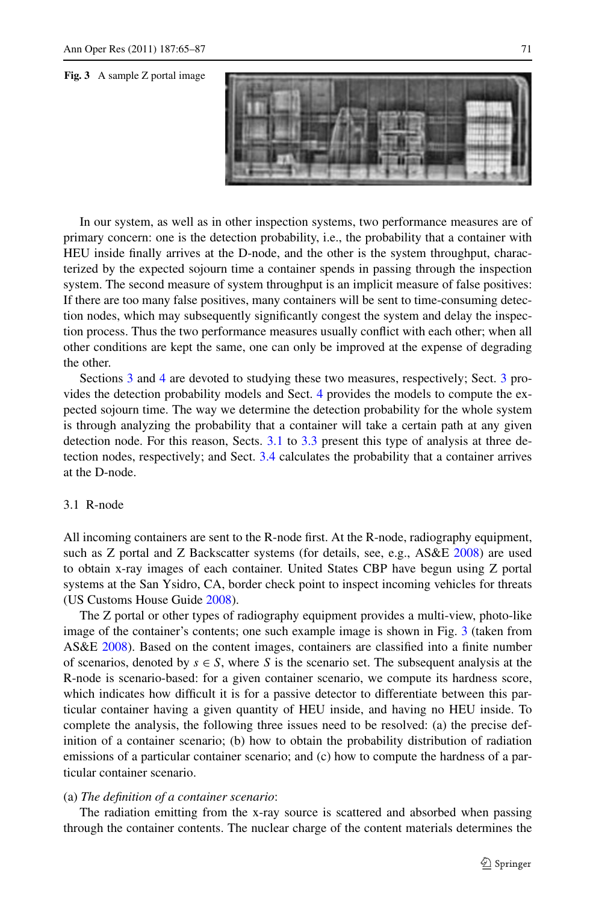<span id="page-6-1"></span>



In our system, as well as in other inspection systems, two performance measures are of primary concern: one is the detection probability, i.e., the probability that a container with HEU inside finally arrives at the D-node, and the other is the system throughput, characterized by the expected sojourn time a container spends in passing through the inspection system. The second measure of system throughput is an implicit measure of false positives: If there are too many false positives, many containers will be sent to time-consuming detection nodes, which may subsequently significantly congest the system and delay the inspection process. Thus the two performance measures usually conflict with each other; when all other conditions are kept the same, one can only be improved at the expense of degrading the other.

<span id="page-6-0"></span>Sections [3](#page-5-1) and [4](#page-12-0) are devoted to studying these two measures, respectively; Sect. [3](#page-5-1) provides the detection probability models and Sect. [4](#page-12-0) provides the models to compute the expected sojourn time. The way we determine the detection probability for the whole system is through analyzing the probability that a container will take a certain path at any given detection node. For this reason, Sects. [3.1](#page-6-0) to [3.3](#page-10-0) present this type of analysis at three detection nodes, respectively; and Sect. [3.4](#page-11-0) calculates the probability that a container arrives at the D-node.

# 3.1 R-node

All incoming containers are sent to the R-node first. At the R-node, radiography equipment, such as Z portal and Z Backscatter systems (for details, see, e.g., AS&E [2008\)](#page-21-20) are used to obtain x-ray images of each container. United States CBP have begun using Z portal systems at the San Ysidro, CA, border check point to inspect incoming vehicles for threats (US Customs House Guide [2008\)](#page-21-9).

The Z portal or other types of radiography equipment provides a multi-view, photo-like image of the container's contents; one such example image is shown in Fig. [3](#page-6-1) (taken from AS&E [2008](#page-21-20)). Based on the content images, containers are classified into a finite number of scenarios, denoted by  $s \in S$ , where S is the scenario set. The subsequent analysis at the R-node is scenario-based: for a given container scenario, we compute its hardness score, which indicates how difficult it is for a passive detector to differentiate between this particular container having a given quantity of HEU inside, and having no HEU inside. To complete the analysis, the following three issues need to be resolved: (a) the precise definition of a container scenario; (b) how to obtain the probability distribution of radiation emissions of a particular container scenario; and (c) how to compute the hardness of a particular container scenario.

#### (a) *The definition of a container scenario*:

The radiation emitting from the x-ray source is scattered and absorbed when passing through the container contents. The nuclear charge of the content materials determines the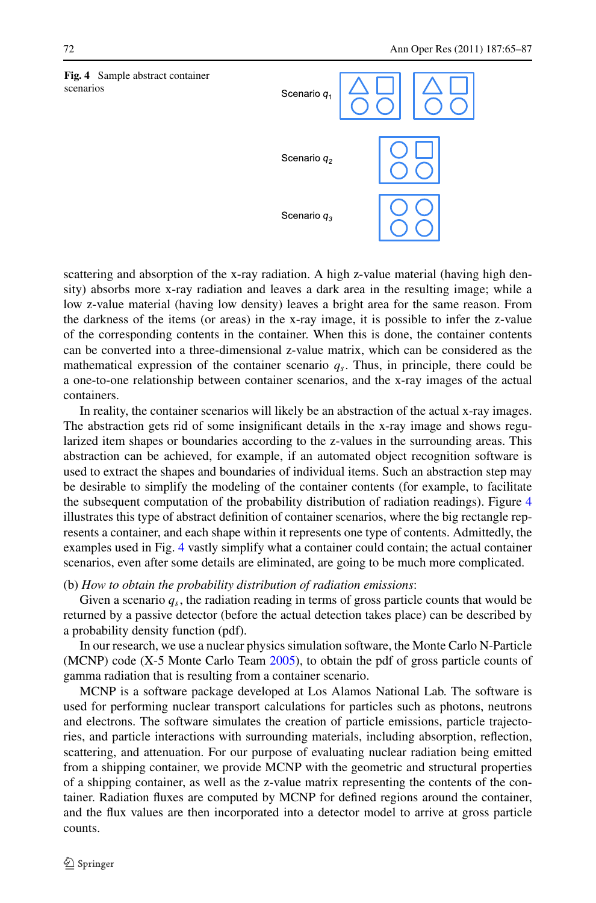<span id="page-7-0"></span>

scattering and absorption of the x-ray radiation. A high z-value material (having high density) absorbs more x-ray radiation and leaves a dark area in the resulting image; while a low z-value material (having low density) leaves a bright area for the same reason. From the darkness of the items (or areas) in the x-ray image, it is possible to infer the z-value of the corresponding contents in the container. When this is done, the container contents can be converted into a three-dimensional z-value matrix, which can be considered as the mathematical expression of the container scenario  $q<sub>s</sub>$ . Thus, in principle, there could be a one-to-one relationship between container scenarios, and the x-ray images of the actual containers.

In reality, the container scenarios will likely be an abstraction of the actual x-ray images. The abstraction gets rid of some insignificant details in the x-ray image and shows regularized item shapes or boundaries according to the z-values in the surrounding areas. This abstraction can be achieved, for example, if an automated object recognition software is used to extract the shapes and boundaries of individual items. Such an abstraction step may be desirable to simplify the modeling of the container contents (for example, to facilitate the subsequent computation of the probability distribution of radiation readings). Figure [4](#page-7-0) illustrates this type of abstract definition of container scenarios, where the big rectangle represents a container, and each shape within it represents one type of contents. Admittedly, the examples used in Fig. [4](#page-7-0) vastly simplify what a container could contain; the actual container scenarios, even after some details are eliminated, are going to be much more complicated.

(b) *How to obtain the probability distribution of radiation emissions*:

Given a scenario *qs*, the radiation reading in terms of gross particle counts that would be returned by a passive detector (before the actual detection takes place) can be described by a probability density function (pdf).

In our research, we use a nuclear physics simulation software, the Monte Carlo N-Particle (MCNP) code (X-5 Monte Carlo Team [2005\)](#page-22-2), to obtain the pdf of gross particle counts of gamma radiation that is resulting from a container scenario.

MCNP is a software package developed at Los Alamos National Lab. The software is used for performing nuclear transport calculations for particles such as photons, neutrons and electrons. The software simulates the creation of particle emissions, particle trajectories, and particle interactions with surrounding materials, including absorption, reflection, scattering, and attenuation. For our purpose of evaluating nuclear radiation being emitted from a shipping container, we provide MCNP with the geometric and structural properties of a shipping container, as well as the z-value matrix representing the contents of the container. Radiation fluxes are computed by MCNP for defined regions around the container, and the flux values are then incorporated into a detector model to arrive at gross particle counts.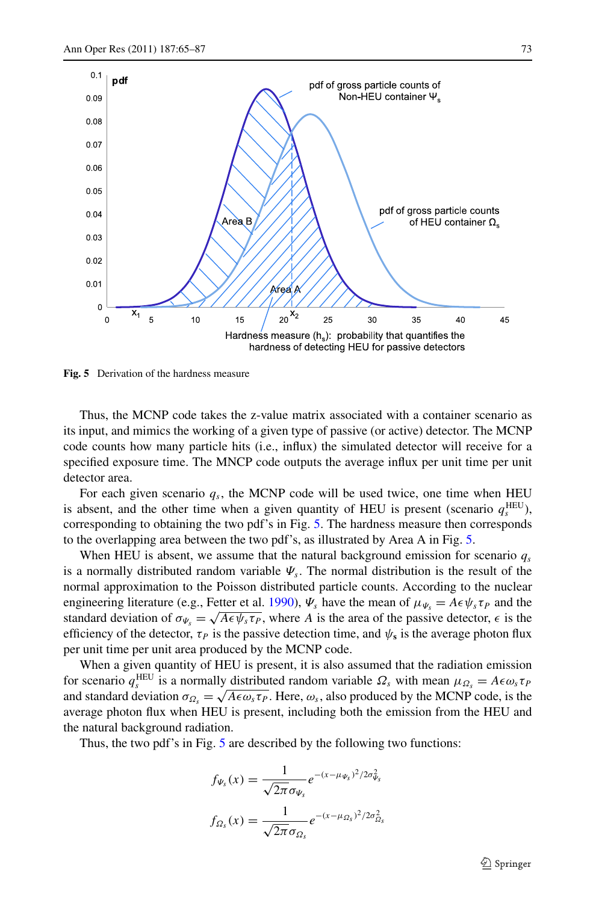

<span id="page-8-0"></span>**Fig. 5** Derivation of the hardness measure

Thus, the MCNP code takes the z-value matrix associated with a container scenario as its input, and mimics the working of a given type of passive (or active) detector. The MCNP code counts how many particle hits (i.e., influx) the simulated detector will receive for a specified exposure time. The MNCP code outputs the average influx per unit time per unit detector area.

For each given scenario  $q<sub>s</sub>$ , the MCNP code will be used twice, one time when HEU is absent, and the other time when a given quantity of HEU is present (scenario  $q_s^{\text{HEU}}$ ), corresponding to obtaining the two pdf's in Fig. [5](#page-8-0). The hardness measure then corresponds to the overlapping area between the two pdf's, as illustrated by Area A in Fig. [5](#page-8-0).

When HEU is absent, we assume that the natural background emission for scenario  $q_s$ is a normally distributed random variable  $\Psi_s$ . The normal distribution is the result of the normal approximation to the Poisson distributed particle counts. According to the nuclear engineering literature (e.g., Fetter et al. [1990\)](#page-21-21),  $\Psi_s$  have the mean of  $\mu_{\Psi_s} = A \epsilon \psi_s \tau_p$  and the standard deviation of  $\sigma_{\psi_s} = \sqrt{A \epsilon \psi_s \tau_P}$ , where *A* is the area of the passive detector,  $\epsilon$  is the efficiency of the detector,  $\tau_P$  is the passive detection time, and  $\psi_s$  is the average photon flux per unit time per unit area produced by the MCNP code.

When a given quantity of HEU is present, it is also assumed that the radiation emission for scenario  $q_s^{\text{HEU}}$  is a normally distributed random variable  $\Omega_s$  with mean  $\mu_{\Omega_s} = A \epsilon \omega_s \tau_P$ and standard deviation  $\sigma_{\Omega_s} = \sqrt{A \epsilon \omega_s \tau_P}$ . Here,  $\omega_s$ , also produced by the MCNP code, is the average photon flux when HEU is present, including both the emission from the HEU and the natural background radiation.

Thus, the two pdf's in Fig. [5](#page-8-0) are described by the following two functions:

$$
f_{\Psi_s}(x) = \frac{1}{\sqrt{2\pi}\sigma_{\Psi_s}} e^{-(x-\mu_{\Psi_s})^2/2\sigma_{\Psi_s}^2}
$$

$$
f_{\Omega_s}(x) = \frac{1}{\sqrt{2\pi}\sigma_{\Omega_s}} e^{-(x-\mu_{\Omega_s})^2/2\sigma_{\Omega_s}^2}
$$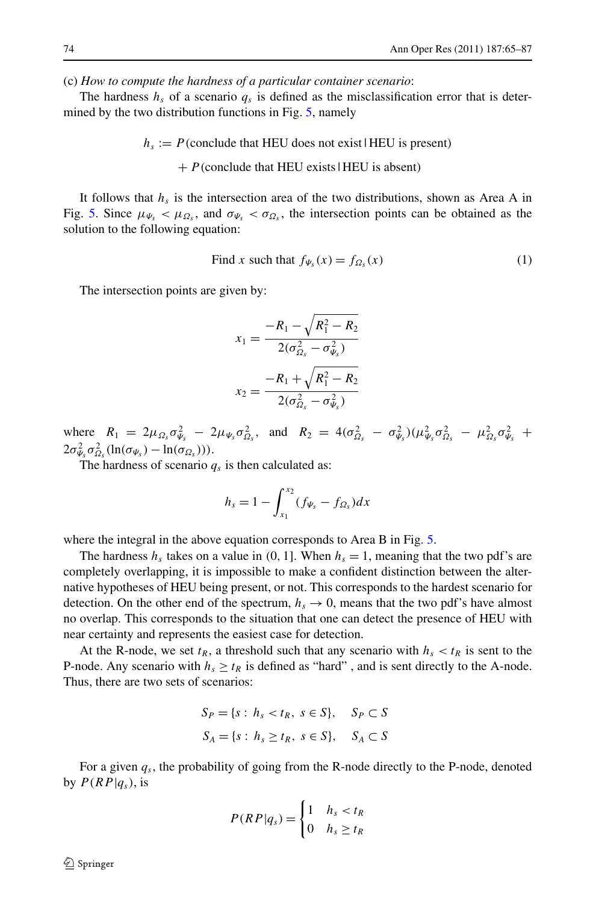(c) *How to compute the hardness of a particular container scenario*:

The hardness  $h_s$  of a scenario  $q_s$  is defined as the misclassification error that is determined by the two distribution functions in Fig. [5](#page-8-0), namely

> $h_s := P$ (conclude that HEU does not exist HEU is present) + *P(*conclude that HEU exists | HEU is absent*)*

It follows that  $h_s$  is the intersection area of the two distributions, shown as Area A in Fig. [5](#page-8-0). Since  $\mu_{\Psi_s} < \mu_{\Omega_s}$ , and  $\sigma_{\Psi_s} < \sigma_{\Omega_s}$ , the intersection points can be obtained as the solution to the following equation:

Find x such that 
$$
f_{\Psi_s}(x) = f_{\Omega_s}(x)
$$
 (1)

The intersection points are given by:

$$
x_1 = \frac{-R_1 - \sqrt{R_1^2 - R_2}}{2(\sigma_{\Omega_s}^2 - \sigma_{\Psi_s}^2)}
$$

$$
x_2 = \frac{-R_1 + \sqrt{R_1^2 - R_2}}{2(\sigma_{\Omega_s}^2 - \sigma_{\Psi_s}^2)}
$$

where  $R_1 = 2\mu_{\Omega_s} \sigma_{\psi_s}^2 - 2\mu_{\psi_s} \sigma_{\Omega_s}^2$ , and  $R_2 = 4(\sigma_{\Omega_s}^2 - \sigma_{\psi_s}^2)(\mu_{\psi_s}^2 \sigma_{\Omega_s}^2 - \mu_{\Omega_s}^2 \sigma_{\psi_s}^2 +$  $2\sigma_{\Psi_s}^2 \sigma_{\Omega_s}^2 (\ln(\sigma_{\Psi_s}) - \ln(\sigma_{\Omega_s}))).$ 

The hardness of scenario  $q_s$  is then calculated as:

$$
h_s = 1 - \int_{x_1}^{x_2} (f_{\Psi_s} - f_{\Omega_s}) dx
$$

where the integral in the above equation corresponds to Area B in Fig. [5.](#page-8-0)

The hardness  $h_s$  takes on a value in (0, 1]. When  $h_s = 1$ , meaning that the two pdf's are completely overlapping, it is impossible to make a confident distinction between the alternative hypotheses of HEU being present, or not. This corresponds to the hardest scenario for detection. On the other end of the spectrum,  $h_s \rightarrow 0$ , means that the two pdf's have almost no overlap. This corresponds to the situation that one can detect the presence of HEU with near certainty and represents the easiest case for detection.

At the R-node, we set  $t_R$ , a threshold such that any scenario with  $h_s < t_R$  is sent to the P-node. Any scenario with  $h_s \ge t_R$  is defined as "hard", and is sent directly to the A-node. Thus, there are two sets of scenarios:

$$
S_P = \{s : h_s < t_R, \ s \in S\}, \quad S_P \subset S
$$
\n
$$
S_A = \{s : h_s \ge t_R, \ s \in S\}, \quad S_A \subset S
$$

For a given *qs*, the probability of going from the R-node directly to the P-node, denoted by  $P(RP|q_s)$ , is

$$
P(RP|q_s) = \begin{cases} 1 & h_s < t_R \\ 0 & h_s \ge t_R \end{cases}
$$

 $\mathcal{D}$  Springer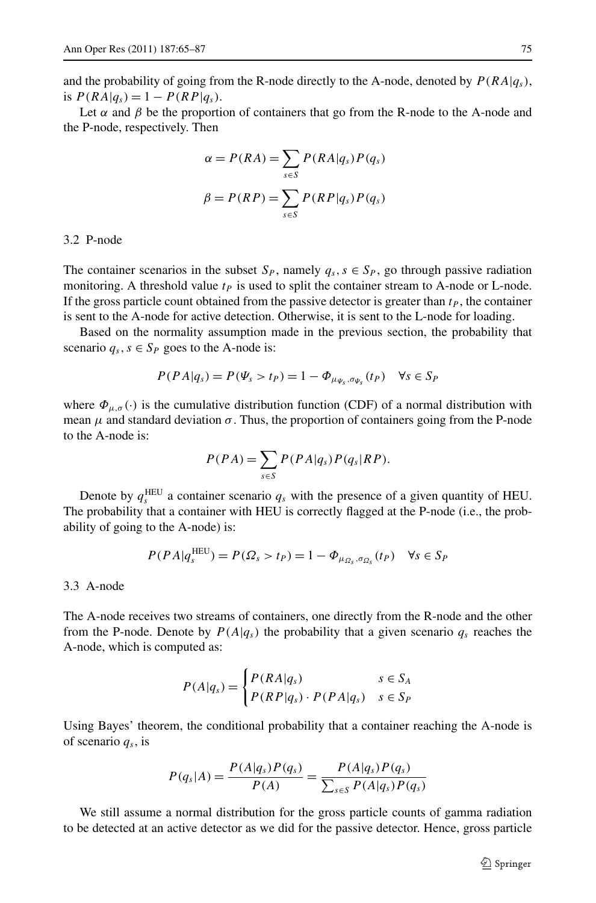and the probability of going from the R-node directly to the A-node, denoted by  $P(RA|q<sub>s</sub>)$ , is  $P(RA|q_s) = 1 - P(RP|q_s)$ .

Let  $\alpha$  and  $\beta$  be the proportion of containers that go from the R-node to the A-node and the P-node, respectively. Then

$$
\alpha = P(RA) = \sum_{s \in S} P(RA|q_s)P(q_s)
$$

$$
\beta = P(RP) = \sum_{s \in S} P(RP|q_s)P(q_s)
$$

3.2 P-node

The container scenarios in the subset  $S_P$ , namely  $q_s$ ,  $s \in S_P$ , go through passive radiation monitoring. A threshold value  $t_P$  is used to split the container stream to A-node or L-node. If the gross particle count obtained from the passive detector is greater than  $t<sub>P</sub>$ , the container is sent to the A-node for active detection. Otherwise, it is sent to the L-node for loading.

Based on the normality assumption made in the previous section, the probability that scenario  $q_s$ ,  $s \in S_p$  goes to the A-node is:

$$
P(P A | qs) = P(\Psis > tP) = 1 - \Phi_{\mu_{\Psi_s}, \sigma_{\Psi_s}}(tP) \quad \forall s \in SP
$$

where  $\Phi_{\mu,\sigma}(\cdot)$  is the cumulative distribution function (CDF) of a normal distribution with mean  $\mu$  and standard deviation  $\sigma$ . Thus, the proportion of containers going from the P-node to the A-node is:

$$
P(P A) = \sum_{s \in S} P(P A | q_s) P(q_s | RP).
$$

<span id="page-10-0"></span>Denote by  $q_s^{\text{HEU}}$  a container scenario  $q_s$  with the presence of a given quantity of HEU. The probability that a container with HEU is correctly flagged at the P-node (i.e., the probability of going to the A-node) is:

$$
P(P A | q_s^{\text{HEU}}) = P(\Omega_s > t_P) = 1 - \Phi_{\mu_{\Omega_s}, \sigma_{\Omega_s}}(t_P) \quad \forall s \in S_P
$$

# 3.3 A-node

The A-node receives two streams of containers, one directly from the R-node and the other from the P-node. Denote by  $P(A|q_s)$  the probability that a given scenario  $q_s$  reaches the A-node, which is computed as:

$$
P(A|q_s) = \begin{cases} P(RA|q_s) & s \in S_A \\ P(RP|q_s) \cdot P(PA|q_s) & s \in S_P \end{cases}
$$

Using Bayes' theorem, the conditional probability that a container reaching the A-node is of scenario *qs*, is

$$
P(q_s|A) = \frac{P(A|q_s)P(q_s)}{P(A)} = \frac{P(A|q_s)P(q_s)}{\sum_{s \in S} P(A|q_s)P(q_s)}
$$

We still assume a normal distribution for the gross particle counts of gamma radiation to be detected at an active detector as we did for the passive detector. Hence, gross particle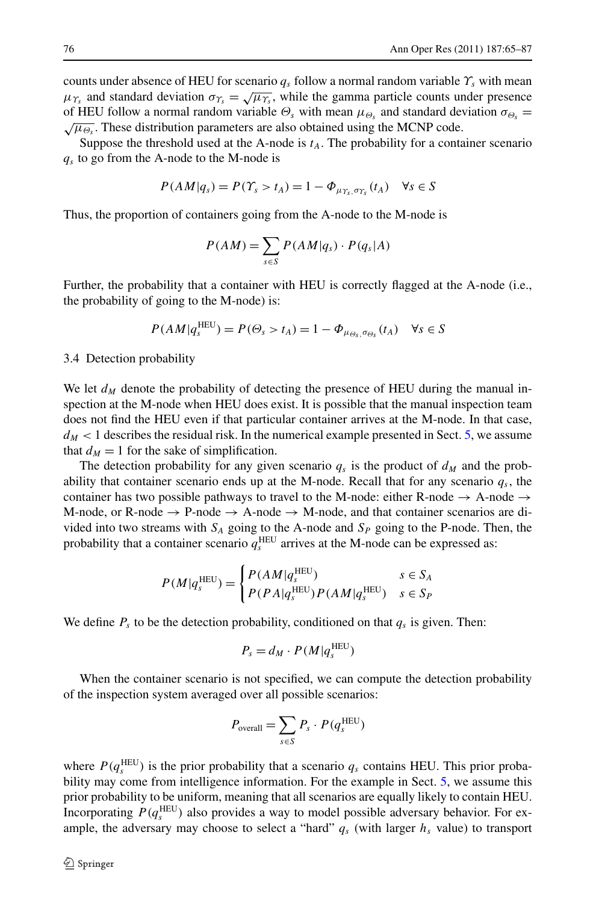counts under absence of HEU for scenario  $q_s$  follow a normal random variable  $\gamma_s$  with mean  $\mu_{\Upsilon_s}$  and standard deviation  $\sigma_{\Upsilon_s} = \sqrt{\mu_{\Upsilon_s}}$ , while the gamma particle counts under presence of HEU follow a normal random variable  $\Theta_s$  with mean  $\mu_{\Theta_s}$  and standard deviation  $\sigma_{\Theta_s} = \sqrt{\mu_{\Theta_s}}$ . These distribution parameters are also obtained using the MCNP code.

Suppose the threshold used at the A-node is  $t_A$ . The probability for a container scenario *qs* to go from the A-node to the M-node is

$$
P(AM|q_s) = P(\Upsilon_s > t_A) = 1 - \Phi_{\mu_{\Upsilon_s}, \sigma_{\Upsilon_s}}(t_A) \quad \forall s \in S
$$

Thus, the proportion of containers going from the A-node to the M-node is

$$
P(AM) = \sum_{s \in S} P(AM|q_s) \cdot P(q_s|A)
$$

<span id="page-11-0"></span>Further, the probability that a container with HEU is correctly flagged at the A-node (i.e., the probability of going to the M-node) is:

$$
P(A M | q_s^{\text{HEU}}) = P(\Theta_s > t_A) = 1 - \Phi_{\mu_{\Theta_s}, \sigma_{\Theta_s}}(t_A) \quad \forall s \in S
$$

3.4 Detection probability

We let  $d_M$  denote the probability of detecting the presence of HEU during the manual inspection at the M-node when HEU does exist. It is possible that the manual inspection team does not find the HEU even if that particular container arrives at the M-node. In that case,  $d_M$  < 1 describes the residual risk. In the numerical example presented in Sect. [5](#page-8-0), we assume that  $d_M = 1$  for the sake of simplification.

The detection probability for any given scenario  $q_s$  is the product of  $d_M$  and the probability that container scenario ends up at the M-node. Recall that for any scenario  $q_s$ , the container has two possible pathways to travel to the M-node: either R-node  $\rightarrow$  A-node  $\rightarrow$ M-node, or R-node  $\rightarrow$  P-node  $\rightarrow$  A-node  $\rightarrow$  M-node, and that container scenarios are divided into two streams with  $S_A$  going to the A-node and  $S_P$  going to the P-node. Then, the probability that a container scenario  $q_s^{\text{HEU}}$  arrives at the M-node can be expressed as:

$$
P(M|q_s^{\text{HEU}}) = \begin{cases} P(AM|q_s^{\text{HEU}}) & s \in S_A \\ P(PA|q_s^{\text{HEU}})P(AM|q_s^{\text{HEU}}) & s \in S_P \end{cases}
$$

We define  $P_s$  to be the detection probability, conditioned on that  $q_s$  is given. Then:

$$
P_s = d_M \cdot P(M|q_s^{\text{HEU}})
$$

When the container scenario is not specified, we can compute the detection probability of the inspection system averaged over all possible scenarios:

$$
P_{\text{overall}} = \sum_{s \in S} P_s \cdot P(q_s^{\text{HEU}})
$$

where  $P(q_s^{\text{HEU}})$  is the prior probability that a scenario  $q_s$  contains HEU. This prior proba-bility may come from intelligence information. For the example in Sect. [5,](#page-14-0) we assume this prior probability to be uniform, meaning that all scenarios are equally likely to contain HEU. Incorporating  $P(q_s^{\text{HEU}})$  also provides a way to model possible adversary behavior. For example, the adversary may choose to select a "hard"  $q_s$  (with larger  $h_s$  value) to transport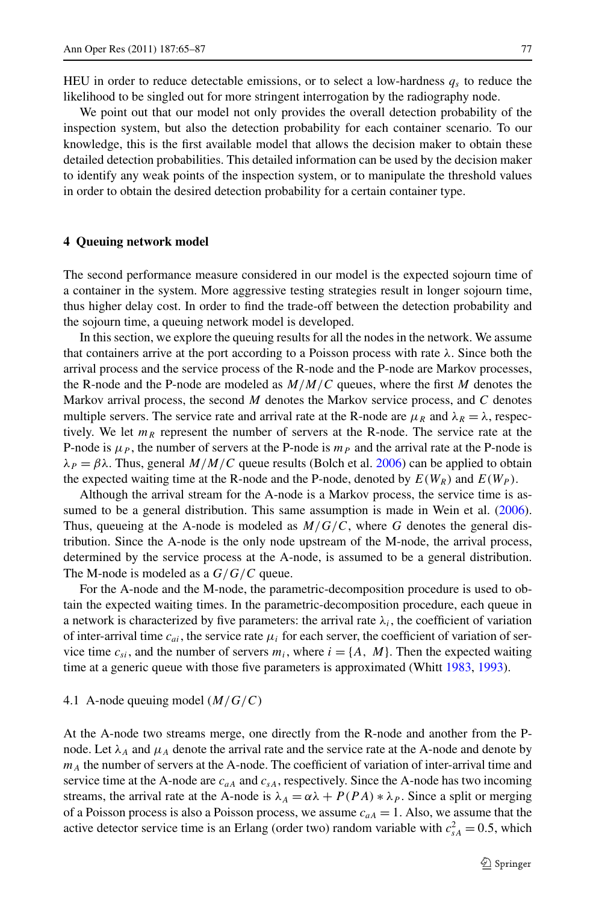HEU in order to reduce detectable emissions, or to select a low-hardness  $q_s$  to reduce the likelihood to be singled out for more stringent interrogation by the radiography node.

<span id="page-12-0"></span>We point out that our model not only provides the overall detection probability of the inspection system, but also the detection probability for each container scenario. To our knowledge, this is the first available model that allows the decision maker to obtain these detailed detection probabilities. This detailed information can be used by the decision maker to identify any weak points of the inspection system, or to manipulate the threshold values in order to obtain the desired detection probability for a certain container type.

#### **4 Queuing network model**

The second performance measure considered in our model is the expected sojourn time of a container in the system. More aggressive testing strategies result in longer sojourn time, thus higher delay cost. In order to find the trade-off between the detection probability and the sojourn time, a queuing network model is developed.

In this section, we explore the queuing results for all the nodes in the network. We assume that containers arrive at the port according to a Poisson process with rate *λ*. Since both the arrival process and the service process of the R-node and the P-node are Markov processes, the R-node and the P-node are modeled as *M/M/C* queues, where the first *M* denotes the Markov arrival process, the second *M* denotes the Markov service process, and *C* denotes multiple servers. The service rate and arrival rate at the R-node are  $\mu_R$  and  $\lambda_R = \lambda$ , respectively. We let  $m_R$  represent the number of servers at the R-node. The service rate at the P-node is  $\mu_p$ , the number of servers at the P-node is  $m_p$  and the arrival rate at the P-node is  $\lambda_P = \beta \lambda$ . Thus, general  $M/M/C$  queue results (Bolch et al. [2006](#page-21-22)) can be applied to obtain the expected waiting time at the R-node and the P-node, denoted by  $E(W_R)$  and  $E(W_P)$ .

Although the arrival stream for the A-node is a Markov process, the service time is assumed to be a general distribution. This same assumption is made in Wein et al. [\(2006](#page-22-1)). Thus, queueing at the A-node is modeled as *M/G/C*, where *G* denotes the general distribution. Since the A-node is the only node upstream of the M-node, the arrival process, determined by the service process at the A-node, is assumed to be a general distribution. The M-node is modeled as a *G/G/C* queue.

For the A-node and the M-node, the parametric-decomposition procedure is used to obtain the expected waiting times. In the parametric-decomposition procedure, each queue in a network is characterized by five parameters: the arrival rate  $\lambda_i$ , the coefficient of variation of inter-arrival time  $c_{ai}$ , the service rate  $\mu_i$  for each server, the coefficient of variation of service time  $c_{si}$ , and the number of servers  $m_i$ , where  $i = \{A, M\}$ . Then the expected waiting time at a generic queue with those five parameters is approximated (Whitt [1983,](#page-22-3) [1993](#page-22-4)).

#### 4.1 A-node queuing model (*M/G/C*)

At the A-node two streams merge, one directly from the R-node and another from the Pnode. Let  $\lambda_A$  and  $\mu_A$  denote the arrival rate and the service rate at the A-node and denote by  $m_A$  the number of servers at the A-node. The coefficient of variation of inter-arrival time and service time at the A-node are  $c_{aA}$  and  $c_{sA}$ , respectively. Since the A-node has two incoming streams, the arrival rate at the A-node is  $\lambda_A = \alpha \lambda + P(PA) * \lambda_P$ . Since a split or merging of a Poisson process is also a Poisson process, we assume  $c_{aA} = 1$ . Also, we assume that the active detector service time is an Erlang (order two) random variable with  $c_{sA}^2 = 0.5$ , which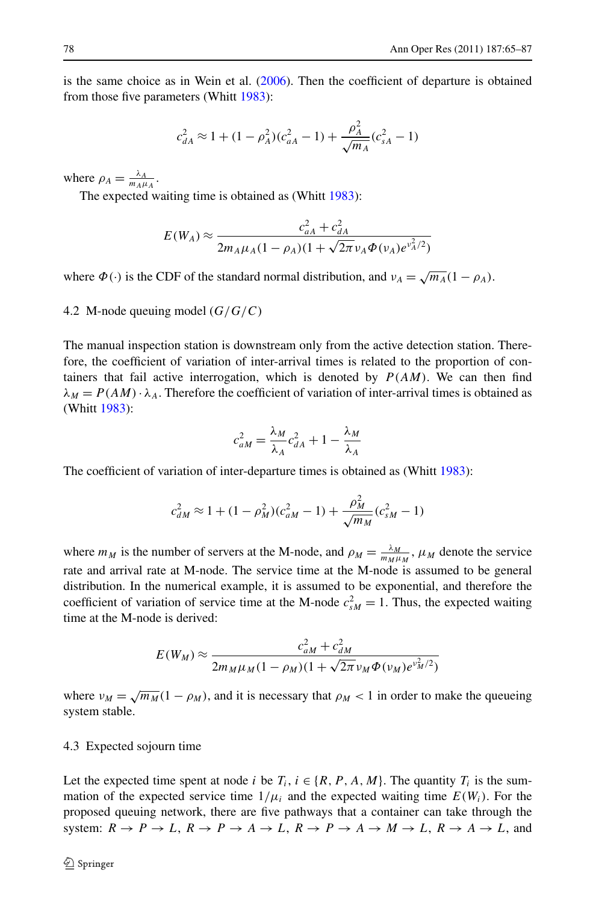is the same choice as in Wein et al. [\(2006](#page-22-1)). Then the coefficient of departure is obtained from those five parameters (Whitt [1983](#page-22-3)):

$$
c_{dA}^2 \approx 1 + (1 - \rho_A^2)(c_{aA}^2 - 1) + \frac{\rho_A^2}{\sqrt{m_A}}(c_{sA}^2 - 1)
$$

where  $\rho_A = \frac{\lambda_A}{m_A \mu_A}$ .

The expected waiting time is obtained as (Whitt [1983](#page-22-3)):

$$
E(W_A) \approx \frac{c_{aA}^2 + c_{dA}^2}{2m_A \mu_A (1 - \rho_A)(1 + \sqrt{2\pi} v_A \Phi(v_A) e^{v_A^2/2})}
$$

where  $\Phi(\cdot)$  is the CDF of the standard normal distribution, and  $v_A = \sqrt{m_A}(1 - \rho_A)$ .

# 4.2 M-node queuing model (*G/G/C*)

The manual inspection station is downstream only from the active detection station. Therefore, the coefficient of variation of inter-arrival times is related to the proportion of containers that fail active interrogation, which is denoted by  $P(AM)$ . We can then find  $\lambda_M = P(AM) \cdot \lambda_A$ . Therefore the coefficient of variation of inter-arrival times is obtained as (Whitt [1983\)](#page-22-3):

$$
c_{aM}^2 = \frac{\lambda_M}{\lambda_A} c_{dA}^2 + 1 - \frac{\lambda_M}{\lambda_A}
$$

The coefficient of variation of inter-departure times is obtained as (Whitt [1983](#page-22-3)):

$$
c_{dM}^{2} \approx 1 + (1 - \rho_{M}^{2})(c_{aM}^{2} - 1) + \frac{\rho_{M}^{2}}{\sqrt{m_{M}}}(c_{sM}^{2} - 1)
$$

where  $m_M$  is the number of servers at the M-node, and  $\rho_M = \frac{\lambda_M}{m_M \mu_M}$ ,  $\mu_M$  denote the service rate and arrival rate at M-node. The service time at the M-node is assumed to be general distribution. In the numerical example, it is assumed to be exponential, and therefore the coefficient of variation of service time at the M-node  $c_{sM}^2 = 1$ . Thus, the expected waiting time at the M-node is derived:

$$
E(W_M) \approx \frac{c_{aM}^2 + c_{dM}^2}{2m_M \mu_M (1 - \rho_M)(1 + \sqrt{2\pi} v_M \Phi(v_M) e^{v_M^2/2})}
$$

where  $\nu_M = \sqrt{m_M} (1 - \rho_M)$ , and it is necessary that  $\rho_M < 1$  in order to make the queueing system stable.

#### 4.3 Expected sojourn time

Let the expected time spent at node *i* be  $T_i$ ,  $i \in \{R, P, A, M\}$ . The quantity  $T_i$  is the summation of the expected service time  $1/\mu_i$  and the expected waiting time  $E(W_i)$ . For the proposed queuing network, there are five pathways that a container can take through the system:  $R \to P \to L$ ,  $R \to P \to A \to L$ ,  $R \to P \to A \to M \to L$ ,  $R \to A \to L$ , and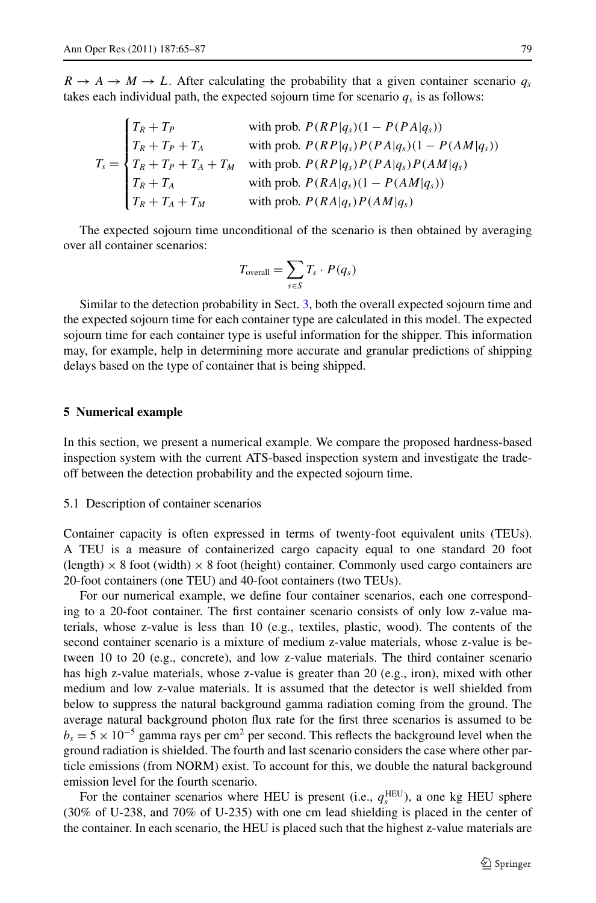$R \to A \to M \to L$ . After calculating the probability that a given container scenario  $q_s$ takes each individual path, the expected sojourn time for scenario  $q_s$  is as follows:

$$
T_s = \begin{cases} T_R + T_P & \text{with prob. } P(RP|q_s)(1 - P(PA|q_s)) \\ T_R + T_P + T_A & \text{with prob. } P(RP|q_s)P(PA|q_s)(1 - P(AM|q_s)) \\ T_R + T_P + T_A + T_M & \text{with prob. } P(RP|q_s)P(PA|q_s)P(AM|q_s) \\ T_R + T_A & \text{with prob. } P(RA|q_s)(1 - P(AM|q_s)) \\ T_R + T_A + T_M & \text{with prob. } P(RA|q_s)P(AM|q_s) \end{cases}
$$

The expected sojourn time unconditional of the scenario is then obtained by averaging over all container scenarios:

$$
T_{\text{overall}} = \sum_{s \in S} T_s \cdot P(q_s)
$$

<span id="page-14-0"></span>Similar to the detection probability in Sect. [3,](#page-5-1) both the overall expected sojourn time and the expected sojourn time for each container type are calculated in this model. The expected sojourn time for each container type is useful information for the shipper. This information may, for example, help in determining more accurate and granular predictions of shipping delays based on the type of container that is being shipped.

# **5 Numerical example**

In this section, we present a numerical example. We compare the proposed hardness-based inspection system with the current ATS-based inspection system and investigate the tradeoff between the detection probability and the expected sojourn time.

## 5.1 Description of container scenarios

Container capacity is often expressed in terms of twenty-foot equivalent units (TEUs). A TEU is a measure of containerized cargo capacity equal to one standard 20 foot  $(\text{length}) \times 8$  foot (width)  $\times 8$  foot (height) container. Commonly used cargo containers are 20-foot containers (one TEU) and 40-foot containers (two TEUs).

For our numerical example, we define four container scenarios, each one corresponding to a 20-foot container. The first container scenario consists of only low z-value materials, whose z-value is less than 10 (e.g., textiles, plastic, wood). The contents of the second container scenario is a mixture of medium z-value materials, whose z-value is between 10 to 20 (e.g., concrete), and low z-value materials. The third container scenario has high z-value materials, whose z-value is greater than 20 (e.g., iron), mixed with other medium and low z-value materials. It is assumed that the detector is well shielded from below to suppress the natural background gamma radiation coming from the ground. The average natural background photon flux rate for the first three scenarios is assumed to be  $b_s = 5 \times 10^{-5}$  gamma rays per cm<sup>2</sup> per second. This reflects the background level when the ground radiation is shielded. The fourth and last scenario considers the case where other particle emissions (from NORM) exist. To account for this, we double the natural background emission level for the fourth scenario.

For the container scenarios where HEU is present (i.e.,  $q_s^{\text{HEU}}$ ), a one kg HEU sphere (30% of U-238, and 70% of U-235) with one cm lead shielding is placed in the center of the container. In each scenario, the HEU is placed such that the highest z-value materials are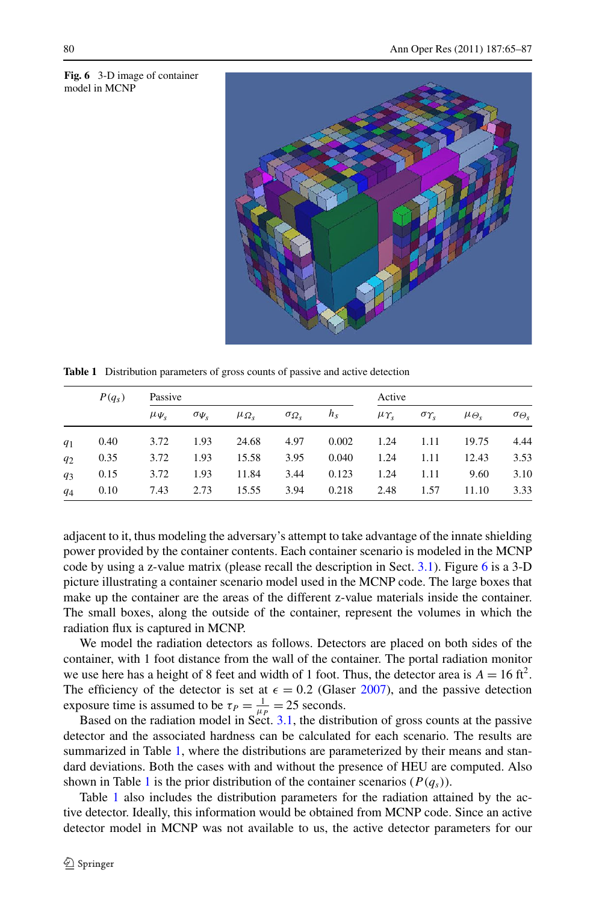<span id="page-15-0"></span>



<span id="page-15-1"></span>**Table 1** Distribution parameters of gross counts of passive and active detection

|                | $P(q_s)$ | Passive          |                         |                    |                   |       | Active                   |                             |                    |                       |
|----------------|----------|------------------|-------------------------|--------------------|-------------------|-------|--------------------------|-----------------------------|--------------------|-----------------------|
|                |          | $\mu_{\Psi_{s}}$ | $\sigma_{\Psi_{\rm s}}$ | $\mu_{\Omega_{s}}$ | $\sigma_{\Omega}$ | $h_s$ | $\mu_{\Upsilon_{\rm s}}$ | $\sigma_{\Upsilon_{\rm c}}$ | $\mu_{\Theta_{s}}$ | $\sigma_{\Theta_{S}}$ |
| $q_1$          | 0.40     | 3.72             | 1.93                    | 24.68 4.97         |                   | 0.002 | 1.24                     | 1.11                        | 19.75              | 4.44                  |
| q <sub>2</sub> | 0.35     | 3.72             | 1.93                    | 15.58              | 3.95              | 0.040 | 1.24                     | 1.11                        | 12.43              | 3.53                  |
| $q_3$          | 0.15     | 3.72             | 1.93                    | 11.84              | 3.44              | 0.123 | 1.24                     | 1.11                        | 9.60               | 3.10                  |
| $q_4$          | 0.10     | 7.43             | 2.73                    | 15.55              | 3.94              | 0.218 | 2.48                     | 1.57                        | 11.10              | 3.33                  |

adjacent to it, thus modeling the adversary's attempt to take advantage of the innate shielding power provided by the container contents. Each container scenario is modeled in the MCNP code by using a z-value matrix (please recall the description in Sect. [3.1](#page-6-0)). Figure [6](#page-15-0) is a 3-D picture illustrating a container scenario model used in the MCNP code. The large boxes that make up the container are the areas of the different z-value materials inside the container. The small boxes, along the outside of the container, represent the volumes in which the radiation flux is captured in MCNP.

We model the radiation detectors as follows. Detectors are placed on both sides of the container, with 1 foot distance from the wall of the container. The portal radiation monitor we use here has a height of 8 feet and width of 1 foot. Thus, the detector area is  $A = 16$  ft<sup>2</sup>. The efficiency of the detector is set at  $\epsilon = 0.2$  (Glaser [2007](#page-21-23)), and the passive detection exposure time is assumed to be  $\tau_P = \frac{1}{\mu_P} = 25$  seconds.

Based on the radiation model in  $S_{\text{c}}^{c}$  at [3.1](#page-6-0), the distribution of gross counts at the passive detector and the associated hardness can be calculated for each scenario. The results are summarized in Table [1,](#page-15-1) where the distributions are parameterized by their means and standard deviations. Both the cases with and without the presence of HEU are computed. Also shown in Table [1](#page-15-1) is the prior distribution of the container scenarios  $(P(q_s))$ .

Table [1](#page-15-1) also includes the distribution parameters for the radiation attained by the active detector. Ideally, this information would be obtained from MCNP code. Since an active detector model in MCNP was not available to us, the active detector parameters for our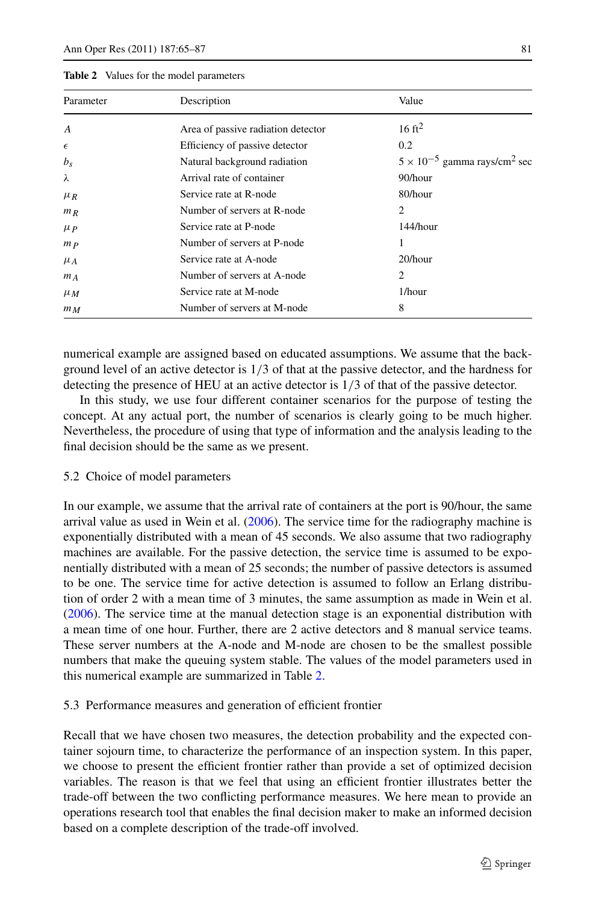|                   | Value                                               |
|-------------------|-----------------------------------------------------|
| diation detector  | $16 \text{ ft}^2$                                   |
| ive detector      | 0.2                                                 |
| الممثلمثة ومالاته | $5 \times 10^{-5}$ commo variation <sup>2</sup> 222 |

<span id="page-16-0"></span>**Table 2** Values for the model parameters

Parameter Description

| A              | Area of passive radiation detector | $16 \text{ ft}^2$                                 |
|----------------|------------------------------------|---------------------------------------------------|
| $\epsilon$     | Efficiency of passive detector     | 0.2                                               |
| $b_{\rm S}$    | Natural background radiation       | $5 \times 10^{-5}$ gamma rays/cm <sup>2</sup> sec |
| λ              | Arrival rate of container          | 90/hour                                           |
| $\mu_R$        | Service rate at R-node             | 80/hour                                           |
| m <sub>R</sub> | Number of servers at R-node        | 2                                                 |
| $\mu$ $\mu$    | Service rate at P-node             | $144/h$ our                                       |
| m <sub>p</sub> | Number of servers at P-node        |                                                   |
| $\mu_A$        | Service rate at A-node             | 20/hour                                           |
| $m_A$          | Number of servers at A-node        | 2                                                 |
| $\mu_M$        | Service rate at M-node             | $1/h$ our                                         |
| $m_M$          | Number of servers at M-node        | 8                                                 |

numerical example are assigned based on educated assumptions. We assume that the background level of an active detector is 1*/*3 of that at the passive detector, and the hardness for detecting the presence of HEU at an active detector is 1*/*3 of that of the passive detector.

In this study, we use four different container scenarios for the purpose of testing the concept. At any actual port, the number of scenarios is clearly going to be much higher. Nevertheless, the procedure of using that type of information and the analysis leading to the final decision should be the same as we present.

## 5.2 Choice of model parameters

In our example, we assume that the arrival rate of containers at the port is 90/hour, the same arrival value as used in Wein et al.  $(2006)$  $(2006)$ . The service time for the radiography machine is exponentially distributed with a mean of 45 seconds. We also assume that two radiography machines are available. For the passive detection, the service time is assumed to be exponentially distributed with a mean of 25 seconds; the number of passive detectors is assumed to be one. The service time for active detection is assumed to follow an Erlang distribution of order 2 with a mean time of 3 minutes, the same assumption as made in Wein et al. ([2006\)](#page-22-1). The service time at the manual detection stage is an exponential distribution with a mean time of one hour. Further, there are 2 active detectors and 8 manual service teams. These server numbers at the A-node and M-node are chosen to be the smallest possible numbers that make the queuing system stable. The values of the model parameters used in this numerical example are summarized in Table [2.](#page-16-0)

## 5.3 Performance measures and generation of efficient frontier

Recall that we have chosen two measures, the detection probability and the expected container sojourn time, to characterize the performance of an inspection system. In this paper, we choose to present the efficient frontier rather than provide a set of optimized decision variables. The reason is that we feel that using an efficient frontier illustrates better the trade-off between the two conflicting performance measures. We here mean to provide an operations research tool that enables the final decision maker to make an informed decision based on a complete description of the trade-off involved.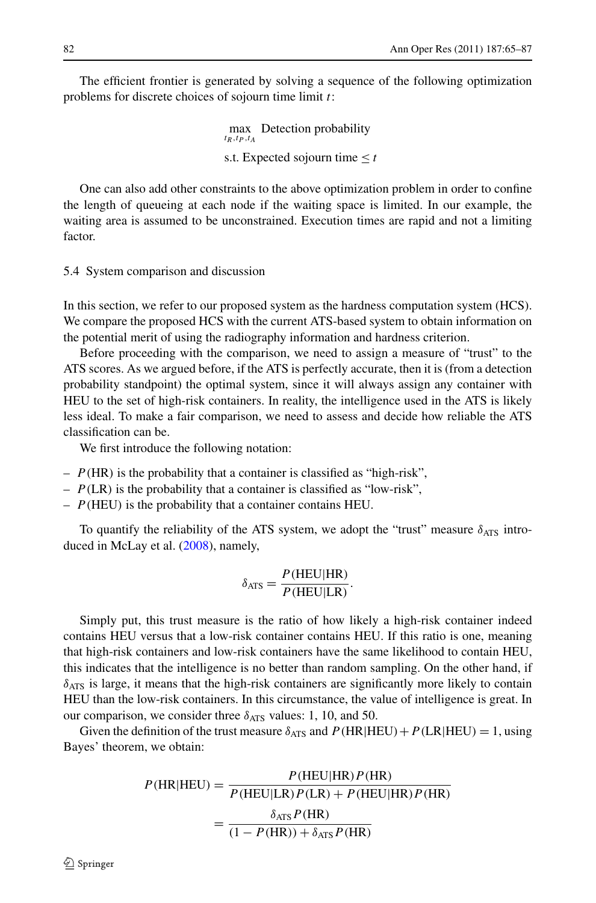The efficient frontier is generated by solving a sequence of the following optimization problems for discrete choices of sojourn time limit *t*:

> max Detection probability *tR,tP ,tA* s.t. Expected sojourn time  $\leq t$

One can also add other constraints to the above optimization problem in order to confine the length of queueing at each node if the waiting space is limited. In our example, the waiting area is assumed to be unconstrained. Execution times are rapid and not a limiting factor.

# 5.4 System comparison and discussion

In this section, we refer to our proposed system as the hardness computation system (HCS). We compare the proposed HCS with the current ATS-based system to obtain information on the potential merit of using the radiography information and hardness criterion.

Before proceeding with the comparison, we need to assign a measure of "trust" to the ATS scores. As we argued before, if the ATS is perfectly accurate, then it is (from a detection probability standpoint) the optimal system, since it will always assign any container with HEU to the set of high-risk containers. In reality, the intelligence used in the ATS is likely less ideal. To make a fair comparison, we need to assess and decide how reliable the ATS classification can be.

We first introduce the following notation:

- *P(*HR*)* is the probability that a container is classified as "high-risk",
- *P(*LR*)* is the probability that a container is classified as "low-risk",
- *P(*HEU*)* is the probability that a container contains HEU.

To quantify the reliability of the ATS system, we adopt the "trust" measure  $\delta_{\text{ATS}}$  introduced in McLay et al. [\(2008](#page-21-19)), namely,

$$
\delta_{\text{ATS}} = \frac{P(\text{HEU}|\text{HR})}{P(\text{HEU}|\text{LR})}.
$$

Simply put, this trust measure is the ratio of how likely a high-risk container indeed contains HEU versus that a low-risk container contains HEU. If this ratio is one, meaning that high-risk containers and low-risk containers have the same likelihood to contain HEU, this indicates that the intelligence is no better than random sampling. On the other hand, if *δ*ATS is large, it means that the high-risk containers are significantly more likely to contain HEU than the low-risk containers. In this circumstance, the value of intelligence is great. In our comparison, we consider three  $δ$ <sub>ATS</sub> values: 1, 10, and 50.

Given the definition of the trust measure  $\delta_{\text{ATS}}$  and  $P(\text{HR}|\text{HEU})+P(\text{LR}|\text{HEU})=1$ , using Bayes' theorem, we obtain:

$$
P(\text{HR}|\text{HEU}) = \frac{P(\text{HEU}|\text{HR})P(\text{HR})}{P(\text{HEU}|\text{LR})P(\text{LR}) + P(\text{HEU}|\text{HR})P(\text{HR})}
$$

$$
= \frac{\delta_{\text{ATS}}P(\text{HR})}{(1 - P(\text{HR})) + \delta_{\text{ATS}}P(\text{HR})}
$$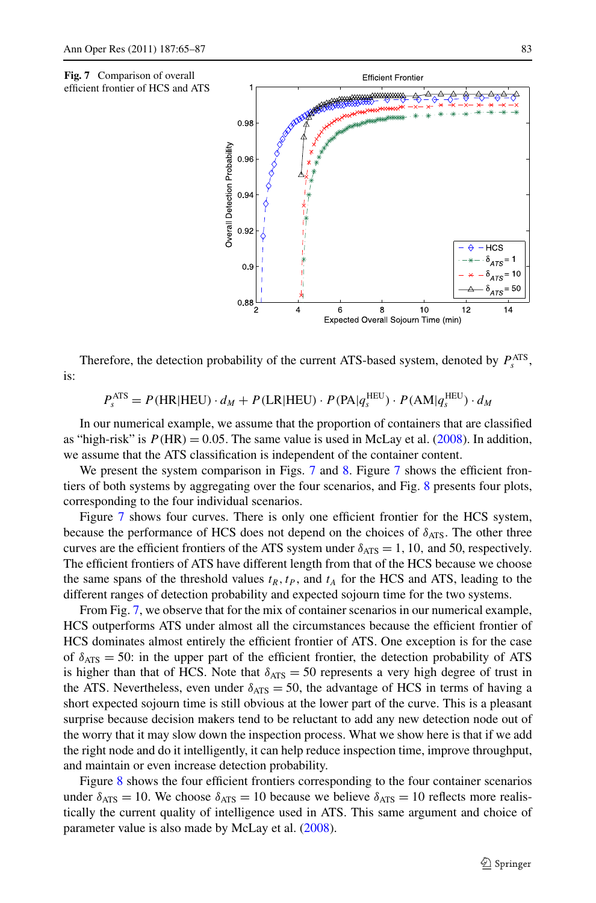<span id="page-18-0"></span>



Therefore, the detection probability of the current ATS-based system, denoted by  $P_s^{\text{ATS}}$ , is:

$$
P_s^{ATS} = P(\text{HR}|\text{HEU}) \cdot d_M + P(\text{LR}|\text{HEU}) \cdot P(\text{PA}|q_s^{\text{HEU}}) \cdot P(\text{AM}|q_s^{\text{HEU}}) \cdot d_M
$$

In our numerical example, we assume that the proportion of containers that are classified as "high-risk" is  $P(HR) = 0.05$ . The same value is used in McLay et al. [\(2008](#page-21-19)). In addition, we assume that the ATS classification is independent of the container content.

We present the system comparison in Figs. [7](#page-18-0) and [8](#page-19-0). Figure 7 shows the efficient frontiers of both systems by aggregating over the four scenarios, and Fig. [8](#page-19-0) presents four plots, corresponding to the four individual scenarios.

Figure [7](#page-18-0) shows four curves. There is only one efficient frontier for the HCS system, because the performance of HCS does not depend on the choices of  $\delta$ <sub>ATS</sub>. The other three curves are the efficient frontiers of the ATS system under  $\delta_{\text{ATS}} = 1, 10,$  and 50, respectively. The efficient frontiers of ATS have different length from that of the HCS because we choose the same spans of the threshold values  $t_R$ ,  $t_P$ , and  $t_A$  for the HCS and ATS, leading to the different ranges of detection probability and expected sojourn time for the two systems.

From Fig. [7,](#page-18-0) we observe that for the mix of container scenarios in our numerical example, HCS outperforms ATS under almost all the circumstances because the efficient frontier of HCS dominates almost entirely the efficient frontier of ATS. One exception is for the case of  $\delta_{\text{ATS}} = 50$ : in the upper part of the efficient frontier, the detection probability of ATS is higher than that of HCS. Note that  $\delta_{\text{ATS}} = 50$  represents a very high degree of trust in the ATS. Nevertheless, even under  $\delta_{\text{ATS}} = 50$ , the advantage of HCS in terms of having a short expected sojourn time is still obvious at the lower part of the curve. This is a pleasant surprise because decision makers tend to be reluctant to add any new detection node out of the worry that it may slow down the inspection process. What we show here is that if we add the right node and do it intelligently, it can help reduce inspection time, improve throughput, and maintain or even increase detection probability.

Figure [8](#page-19-0) shows the four efficient frontiers corresponding to the four container scenarios under  $\delta_{\text{ATS}} = 10$ . We choose  $\delta_{\text{ATS}} = 10$  because we believe  $\delta_{\text{ATS}} = 10$  reflects more realistically the current quality of intelligence used in ATS. This same argument and choice of parameter value is also made by McLay et al. [\(2008](#page-21-19)).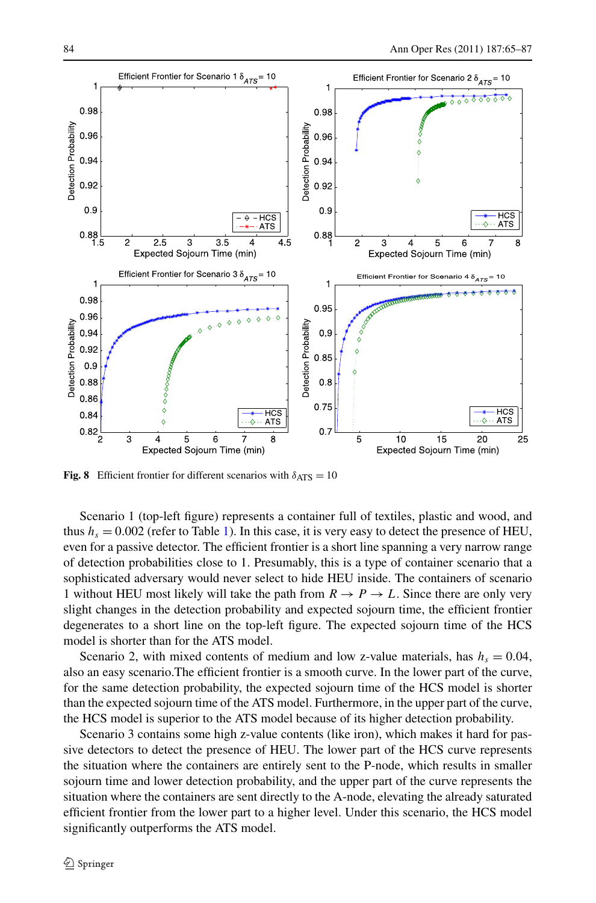

<span id="page-19-0"></span>**Fig. 8** Efficient frontier for different scenarios with  $\delta_{\text{ATS}} = 10$ 

Scenario 1 (top-left figure) represents a container full of textiles, plastic and wood, and thus  $h_s = 0.002$  (refer to Table [1](#page-15-1)). In this case, it is very easy to detect the presence of HEU, even for a passive detector. The efficient frontier is a short line spanning a very narrow range of detection probabilities close to 1. Presumably, this is a type of container scenario that a sophisticated adversary would never select to hide HEU inside. The containers of scenario 1 without HEU most likely will take the path from  $R \to P \to L$ . Since there are only very slight changes in the detection probability and expected sojourn time, the efficient frontier degenerates to a short line on the top-left figure. The expected sojourn time of the HCS model is shorter than for the ATS model.

Scenario 2, with mixed contents of medium and low z-value materials, has  $h_s = 0.04$ , also an easy scenario.The efficient frontier is a smooth curve. In the lower part of the curve, for the same detection probability, the expected sojourn time of the HCS model is shorter than the expected sojourn time of the ATS model. Furthermore, in the upper part of the curve, the HCS model is superior to the ATS model because of its higher detection probability.

Scenario 3 contains some high z-value contents (like iron), which makes it hard for passive detectors to detect the presence of HEU. The lower part of the HCS curve represents the situation where the containers are entirely sent to the P-node, which results in smaller sojourn time and lower detection probability, and the upper part of the curve represents the situation where the containers are sent directly to the A-node, elevating the already saturated efficient frontier from the lower part to a higher level. Under this scenario, the HCS model significantly outperforms the ATS model.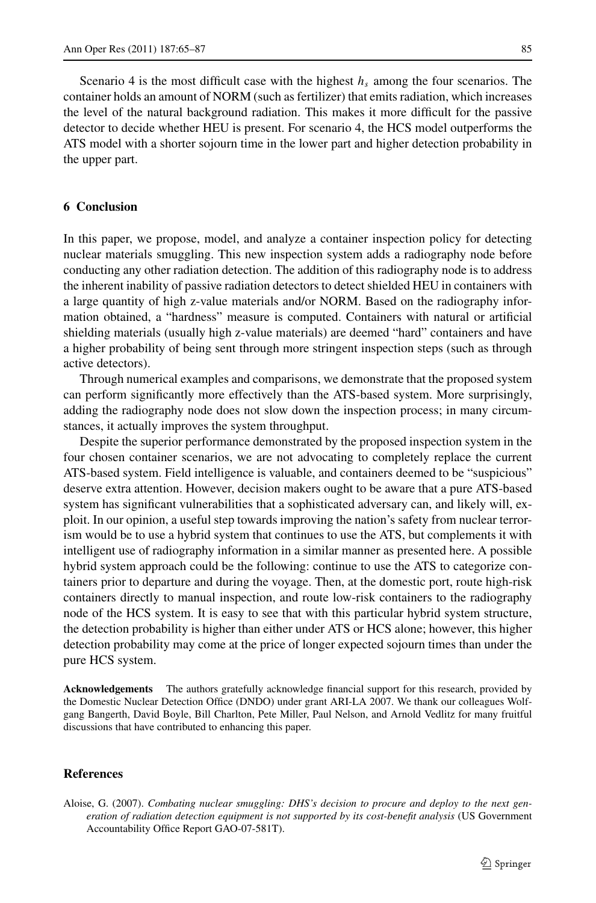<span id="page-20-1"></span>Scenario 4 is the most difficult case with the highest  $h_s$  among the four scenarios. The container holds an amount of NORM (such as fertilizer) that emits radiation, which increases the level of the natural background radiation. This makes it more difficult for the passive detector to decide whether HEU is present. For scenario 4, the HCS model outperforms the ATS model with a shorter sojourn time in the lower part and higher detection probability in the upper part.

#### **6 Conclusion**

In this paper, we propose, model, and analyze a container inspection policy for detecting nuclear materials smuggling. This new inspection system adds a radiography node before conducting any other radiation detection. The addition of this radiography node is to address the inherent inability of passive radiation detectors to detect shielded HEU in containers with a large quantity of high z-value materials and/or NORM. Based on the radiography information obtained, a "hardness" measure is computed. Containers with natural or artificial shielding materials (usually high z-value materials) are deemed "hard" containers and have a higher probability of being sent through more stringent inspection steps (such as through active detectors).

Through numerical examples and comparisons, we demonstrate that the proposed system can perform significantly more effectively than the ATS-based system. More surprisingly, adding the radiography node does not slow down the inspection process; in many circumstances, it actually improves the system throughput.

Despite the superior performance demonstrated by the proposed inspection system in the four chosen container scenarios, we are not advocating to completely replace the current ATS-based system. Field intelligence is valuable, and containers deemed to be "suspicious" deserve extra attention. However, decision makers ought to be aware that a pure ATS-based system has significant vulnerabilities that a sophisticated adversary can, and likely will, exploit. In our opinion, a useful step towards improving the nation's safety from nuclear terrorism would be to use a hybrid system that continues to use the ATS, but complements it with intelligent use of radiography information in a similar manner as presented here. A possible hybrid system approach could be the following: continue to use the ATS to categorize containers prior to departure and during the voyage. Then, at the domestic port, route high-risk containers directly to manual inspection, and route low-risk containers to the radiography node of the HCS system. It is easy to see that with this particular hybrid system structure, the detection probability is higher than either under ATS or HCS alone; however, this higher detection probability may come at the price of longer expected sojourn times than under the pure HCS system.

<span id="page-20-0"></span>**Acknowledgements** The authors gratefully acknowledge financial support for this research, provided by the Domestic Nuclear Detection Office (DNDO) under grant ARI-LA 2007. We thank our colleagues Wolfgang Bangerth, David Boyle, Bill Charlton, Pete Miller, Paul Nelson, and Arnold Vedlitz for many fruitful discussions that have contributed to enhancing this paper.

# **References**

Aloise, G. (2007). *Combating nuclear smuggling: DHS's decision to procure and deploy to the next generation of radiation detection equipment is not supported by its cost-benefit analysis* (US Government Accountability Office Report GAO-07-581T).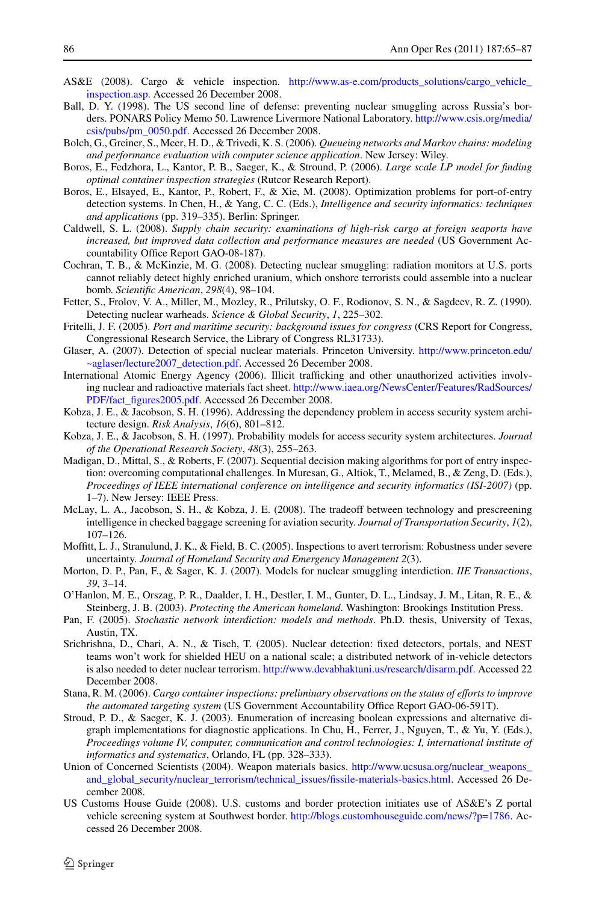- <span id="page-21-22"></span><span id="page-21-20"></span><span id="page-21-16"></span><span id="page-21-13"></span><span id="page-21-1"></span>AS&E (2008). Cargo & vehicle inspection. [http://www.as-e.com/products\\_solutions/cargo\\_vehicle\\_](http://www.as-e.com/products_solutions/cargo_vehicle_inspection.asp) [inspection.asp](http://www.as-e.com/products_solutions/cargo_vehicle_inspection.asp). Accessed 26 December 2008.
- <span id="page-21-7"></span>Ball, D. Y. (1998). The US second line of defense: preventing nuclear smuggling across Russia's borders. PONARS Policy Memo 50. Lawrence Livermore National Laboratory. [http://www.csis.org/media/](http://www.csis.org/media/csis/pubs/pm_0050.pdf) [csis/pubs/pm\\_0050.pdf.](http://www.csis.org/media/csis/pubs/pm_0050.pdf) Accessed 26 December 2008.
- <span id="page-21-4"></span>Bolch, G., Greiner, S., Meer, H. D., & Trivedi, K. S. (2006). *Queueing networks and Markov chains: modeling and performance evaluation with computer science application*. New Jersey: Wiley.
- <span id="page-21-21"></span>Boros, E., Fedzhora, L., Kantor, P. B., Saeger, K., & Stround, P. (2006). *Large scale LP model for finding optimal container inspection strategies* (Rutcor Research Report).
- <span id="page-21-5"></span>Boros, E., Elsayed, E., Kantor, P., Robert, F., & Xie, M. (2008). Optimization problems for port-of-entry detection systems. In Chen, H., & Yang, C. C. (Eds.), *Intelligence and security informatics: techniques and applications* (pp. 319–335). Berlin: Springer.
- <span id="page-21-23"></span>Caldwell, S. L. (2008). *Supply chain security: examinations of high-risk cargo at foreign seaports have increased, but improved data collection and performance measures are needed* (US Government Accountability Office Report GAO-08-187).
- <span id="page-21-2"></span>Cochran, T. B., & McKinzie, M. G. (2008). Detecting nuclear smuggling: radiation monitors at U.S. ports cannot reliably detect highly enriched uranium, which onshore terrorists could assemble into a nuclear bomb. *Scientific American*, *298*(4), 98–104.
- <span id="page-21-18"></span><span id="page-21-17"></span>Fetter, S., Frolov, V. A., Miller, M., Mozley, R., Prilutsky, O. F., Rodionov, S. N., & Sagdeev, R. Z. (1990). Detecting nuclear warheads. *Science & Global Security*, *1*, 225–302.
- <span id="page-21-15"></span>Fritelli, J. F. (2005). *Port and maritime security: background issues for congress* (CRS Report for Congress, Congressional Research Service, the Library of Congress RL31733).
- Glaser, A. (2007). Detection of special nuclear materials. Princeton University. [http://www.princeton.edu/](http://www.princeton.edu/~aglaser/lecture2007_detection.pdf) [~aglaser/lecture2007\\_detection.pdf](http://www.princeton.edu/~aglaser/lecture2007_detection.pdf). Accessed 26 December 2008.
- <span id="page-21-19"></span>International Atomic Energy Agency (2006). Illicit trafficking and other unauthorized activities involving nuclear and radioactive materials fact sheet. [http://www.iaea.org/NewsCenter/Features/RadSources/](http://www.iaea.org/NewsCenter/Features/RadSources/PDF/fact_figures2005.pdf) [PDF/fact\\_figures2005.pdf.](http://www.iaea.org/NewsCenter/Features/RadSources/PDF/fact_figures2005.pdf) Accessed 26 December 2008.
- <span id="page-21-10"></span>Kobza, J. E., & Jacobson, S. H. (1996). Addressing the dependency problem in access security system architecture design. *Risk Analysis*, *16*(6), 801–812.
- <span id="page-21-12"></span>Kobza, J. E., & Jacobson, S. H. (1997). Probability models for access security system architectures. *Journal of the Operational Research Society*, *48*(3), 255–263.
- <span id="page-21-0"></span>Madigan, D., Mittal, S., & Roberts, F. (2007). Sequential decision making algorithms for port of entry inspection: overcoming computational challenges. In Muresan, G., Altiok, T., Melamed, B., & Zeng, D. (Eds.), *Proceedings of IEEE international conference on intelligence and security informatics (ISI-2007)* (pp. 1–7). New Jersey: IEEE Press.
- <span id="page-21-11"></span><span id="page-21-8"></span>McLay, L. A., Jacobson, S. H., & Kobza, J. E. (2008). The tradeoff between technology and prescreening intelligence in checked baggage screening for aviation security. *Journal of Transportation Security*, *1*(2), 107–126.
- Moffitt, L. J., Stranulund, J. K., & Field, B. C. (2005). Inspections to avert terrorism: Robustness under severe uncertainty. *Journal of Homeland Security and Emergency Management 2*(3).
- <span id="page-21-6"></span>Morton, D. P., Pan, F., & Sager, K. J. (2007). Models for nuclear smuggling interdiction. *IIE Transactions*, *39*, 3–14.
- <span id="page-21-14"></span>O'Hanlon, M. E., Orszag, P. R., Daalder, I. H., Destler, I. M., Gunter, D. L., Lindsay, J. M., Litan, R. E., & Steinberg, J. B. (2003). *Protecting the American homeland*. Washington: Brookings Institution Press.
- Pan, F. (2005). *Stochastic network interdiction: models and methods*. Ph.D. thesis, University of Texas, Austin, TX.
- <span id="page-21-3"></span>Srichrishna, D., Chari, A. N., & Tisch, T. (2005). Nuclear detection: fixed detectors, portals, and NEST teams won't work for shielded HEU on a national scale; a distributed network of in-vehicle detectors is also needed to deter nuclear terrorism. [http://www.devabhaktuni.us/research/disarm.pdf.](http://www.devabhaktuni.us/research/disarm.pdf) Accessed 22 December 2008.
- <span id="page-21-9"></span>Stana, R. M. (2006). *Cargo container inspections: preliminary observations on the status of efforts to improve the automated targeting system* (US Government Accountability Office Report GAO-06-591T).
- Stroud, P. D., & Saeger, K. J. (2003). Enumeration of increasing boolean expressions and alternative digraph implementations for diagnostic applications. In Chu, H., Ferrer, J., Nguyen, T., & Yu, Y. (Eds.), *Proceedings volume IV, computer, communication and control technologies: I, international institute of informatics and systematics*, Orlando, FL (pp. 328–333).
- Union of Concerned Scientists (2004). Weapon materials basics. [http://www.ucsusa.org/nuclear\\_weapons\\_](http://www.ucsusa.org/nuclear_weapons_and_global_security/nuclear_terrorism/technical_issues/fissile-materials-basics.html) [and\\_global\\_security/nuclear\\_terrorism/technical\\_issues/fissile-materials-basics.html.](http://www.ucsusa.org/nuclear_weapons_and_global_security/nuclear_terrorism/technical_issues/fissile-materials-basics.html) Accessed 26 December 2008.
- US Customs House Guide (2008). U.S. customs and border protection initiates use of AS&E's Z portal vehicle screening system at Southwest border. <http://blogs.customhouseguide.com/news/?p=1786>. Accessed 26 December 2008.